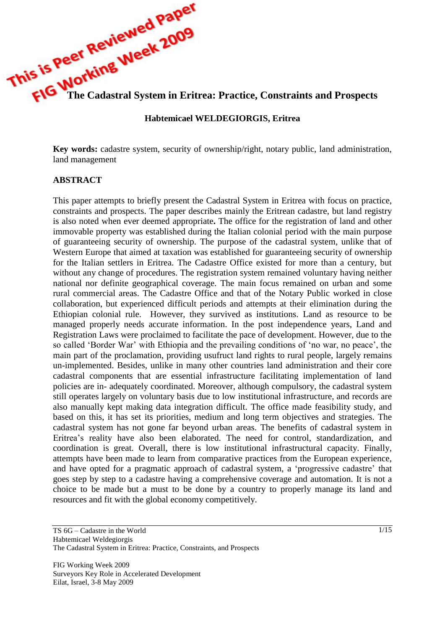

#### **Habtemicael WELDEGIORGIS, Eritrea**

**Key words:** cadastre system, security of ownership/right, notary public, land administration, land management

#### **ABSTRACT**

This paper attempts to briefly present the Cadastral System in Eritrea with focus on practice, constraints and prospects. The paper describes mainly the Eritrean cadastre, but land registry is also noted when ever deemed appropriate**.** The office for the registration of land and other immovable property was established during the Italian colonial period with the main purpose of guaranteeing security of ownership. The purpose of the cadastral system, unlike that of Western Europe that aimed at taxation was established for guaranteeing security of ownership for the Italian settlers in Eritrea. The Cadastre Office existed for more than a century, but without any change of procedures. The registration system remained voluntary having neither national nor definite geographical coverage. The main focus remained on urban and some rural commercial areas. The Cadastre Office and that of the Notary Public worked in close collaboration, but experienced difficult periods and attempts at their elimination during the Ethiopian colonial rule. However, they survived as institutions. Land as resource to be managed properly needs accurate information. In the post independence years, Land and Registration Laws were proclaimed to facilitate the pace of development. However, due to the so called 'Border War' with Ethiopia and the prevailing conditions of 'no war, no peace', the main part of the proclamation, providing usufruct land rights to rural people, largely remains un-implemented. Besides, unlike in many other countries land administration and their core cadastral components that are essential infrastructure facilitating implementation of land policies are in- adequately coordinated. Moreover, although compulsory, the cadastral system still operates largely on voluntary basis due to low institutional infrastructure, and records are also manually kept making data integration difficult. The office made feasibility study, and based on this, it has set its priorities, medium and long term objectives and strategies. The cadastral system has not gone far beyond urban areas. The benefits of cadastral system in Eritrea's reality have also been elaborated. The need for control, standardization, and coordination is great. Overall, there is low institutional infrastructural capacity. Finally, attempts have been made to learn from comparative practices from the European experience, and have opted for a pragmatic approach of cadastral system, a 'progressive cadastre' that goes step by step to a cadastre having a comprehensive coverage and automation. It is not a choice to be made but a must to be done by a country to properly manage its land and resources and fit with the global economy competitively.

FIG Working Week 2009 Surveyors Key Role in Accelerated Development Eilat, Israel, 3-8 May 2009

TS 6G – Cadastre in the World Habtemicael Weldegiorgis The Cadastral System in Eritrea: Practice, Constraints, and Prospects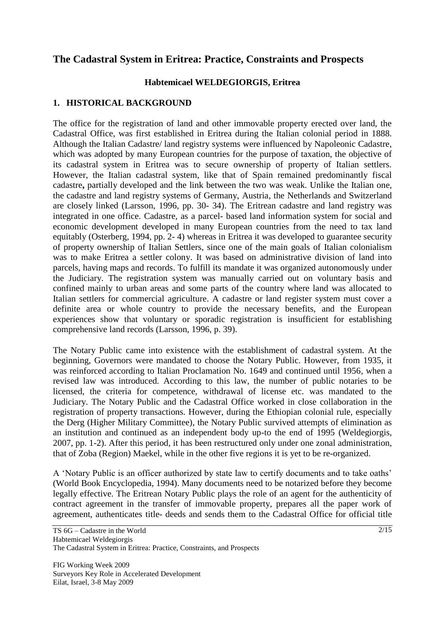# **The Cadastral System in Eritrea: Practice, Constraints and Prospects**

### **Habtemicael WELDEGIORGIS, Eritrea**

### **1. HISTORICAL BACKGROUND**

The office for the registration of land and other immovable property erected over land, the Cadastral Office, was first established in Eritrea during the Italian colonial period in 1888. Although the Italian Cadastre/ land registry systems were influenced by Napoleonic Cadastre, which was adopted by many European countries for the purpose of taxation, the objective of its cadastral system in Eritrea was to secure ownership of property of Italian settlers. However, the Italian cadastral system, like that of Spain remained predominantly fiscal cadastre**,** partially developed and the link between the two was weak. Unlike the Italian one, the cadastre and land registry systems of Germany, Austria, the Netherlands and Switzerland are closely linked (Larsson, 1996, pp. 30- 34). The Eritrean cadastre and land registry was integrated in one office. Cadastre, as a parcel- based land information system for social and economic development developed in many European countries from the need to tax land equitably (Osterberg, 1994, pp. 2- 4) whereas in Eritrea it was developed to guarantee security of property ownership of Italian Settlers, since one of the main goals of Italian colonialism was to make Eritrea a settler colony. It was based on administrative division of land into parcels, having maps and records. To fulfill its mandate it was organized autonomously under the Judiciary. The registration system was manually carried out on voluntary basis and confined mainly to urban areas and some parts of the country where land was allocated to Italian settlers for commercial agriculture. A cadastre or land register system must cover a definite area or whole country to provide the necessary benefits, and the European experiences show that voluntary or sporadic registration is insufficient for establishing comprehensive land records (Larsson, 1996, p. 39).

The Notary Public came into existence with the establishment of cadastral system. At the beginning, Governors were mandated to choose the Notary Public. However, from 1935, it was reinforced according to Italian Proclamation No. 1649 and continued until 1956, when a revised law was introduced. According to this law, the number of public notaries to be licensed, the criteria for competence, withdrawal of license etc. was mandated to the Judiciary. The Notary Public and the Cadastral Office worked in close collaboration in the registration of property transactions. However, during the Ethiopian colonial rule, especially the Derg (Higher Military Committee), the Notary Public survived attempts of elimination as an institution and continued as an independent body up-to the end of 1995 (Weldegiorgis, 2007, pp. 1-2). After this period, it has been restructured only under one zonal administration, that of Zoba (Region) Maekel, while in the other five regions it is yet to be re-organized.

A 'Notary Public is an officer authorized by state law to certify documents and to take oaths' (World Book Encyclopedia, 1994). Many documents need to be notarized before they become legally effective. The Eritrean Notary Public plays the role of an agent for the authenticity of contract agreement in the transfer of immovable property, prepares all the paper work of agreement, authenticates title- deeds and sends them to the Cadastral Office for official title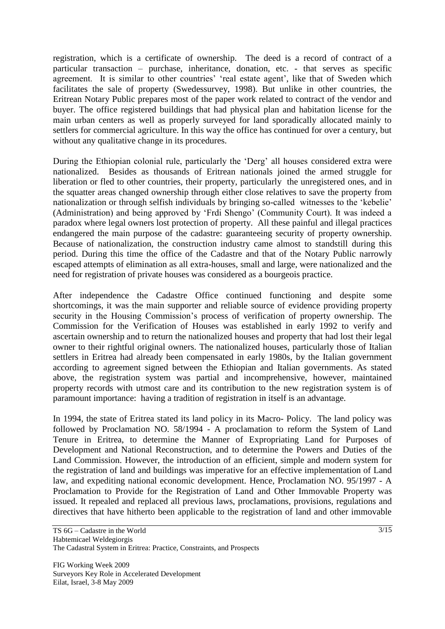registration, which is a certificate of ownership. The deed is a record of contract of a particular transaction – purchase, inheritance, donation, etc. - that serves as specific agreement. It is similar to other countries' 'real estate agent', like that of Sweden which facilitates the sale of property (Swedessurvey, 1998). But unlike in other countries, the Eritrean Notary Public prepares most of the paper work related to contract of the vendor and buyer. The office registered buildings that had physical plan and habitation license for the main urban centers as well as properly surveyed for land sporadically allocated mainly to settlers for commercial agriculture. In this way the office has continued for over a century, but without any qualitative change in its procedures.

During the Ethiopian colonial rule, particularly the 'Derg' all houses considered extra were nationalized. Besides as thousands of Eritrean nationals joined the armed struggle for liberation or fled to other countries, their property, particularly the unregistered ones, and in the squatter areas changed ownership through either close relatives to save the property from nationalization or through selfish individuals by bringing so-called witnesses to the 'kebelie' (Administration) and being approved by 'Frdi Shengo' (Community Court). It was indeed a paradox where legal owners lost protection of property. All these painful and illegal practices endangered the main purpose of the cadastre: guaranteeing security of property ownership. Because of nationalization, the construction industry came almost to standstill during this period. During this time the office of the Cadastre and that of the Notary Public narrowly escaped attempts of elimination as all extra-houses, small and large, were nationalized and the need for registration of private houses was considered as a bourgeois practice.

After independence the Cadastre Office continued functioning and despite some shortcomings, it was the main supporter and reliable source of evidence providing property security in the Housing Commission's process of verification of property ownership. The Commission for the Verification of Houses was established in early 1992 to verify and ascertain ownership and to return the nationalized houses and property that had lost their legal owner to their rightful original owners. The nationalized houses, particularly those of Italian settlers in Eritrea had already been compensated in early 1980s, by the Italian government according to agreement signed between the Ethiopian and Italian governments. As stated above, the registration system was partial and incomprehensive, however, maintained property records with utmost care and its contribution to the new registration system is of paramount importance: having a tradition of registration in itself is an advantage.

In 1994, the state of Eritrea stated its land policy in its Macro- Policy. The land policy was followed by Proclamation NO. 58/1994 - A proclamation to reform the System of Land Tenure in Eritrea, to determine the Manner of Expropriating Land for Purposes of Development and National Reconstruction, and to determine the Powers and Duties of the Land Commission. However, the introduction of an efficient, simple and modern system for the registration of land and buildings was imperative for an effective implementation of Land law, and expediting national economic development. Hence, Proclamation NO. 95/1997 - A Proclamation to Provide for the Registration of Land and Other Immovable Property was issued. It repealed and replaced all previous laws, proclamations, provisions, regulations and directives that have hitherto been applicable to the registration of land and other immovable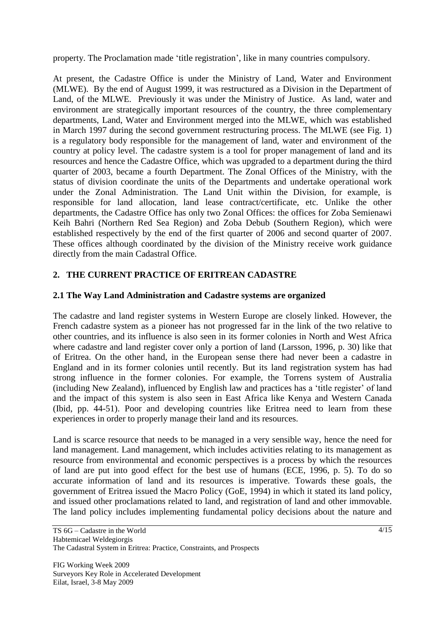property. The Proclamation made 'title registration', like in many countries compulsory.

At present, the Cadastre Office is under the Ministry of Land, Water and Environment (MLWE). By the end of August 1999, it was restructured as a Division in the Department of Land, of the MLWE. Previously it was under the Ministry of Justice. As land, water and environment are strategically important resources of the country, the three complementary departments, Land, Water and Environment merged into the MLWE, which was established in March 1997 during the second government restructuring process. The MLWE (see Fig. 1) is a regulatory body responsible for the management of land, water and environment of the country at policy level. The cadastre system is a tool for proper management of land and its resources and hence the Cadastre Office, which was upgraded to a department during the third quarter of 2003, became a fourth Department. The Zonal Offices of the Ministry, with the status of division coordinate the units of the Departments and undertake operational work under the Zonal Administration. The Land Unit within the Division, for example, is responsible for land allocation, land lease contract/certificate, etc. Unlike the other departments, the Cadastre Office has only two Zonal Offices: the offices for Zoba Semienawi Keih Bahri (Northern Red Sea Region) and Zoba Debub (Southern Region), which were established respectively by the end of the first quarter of 2006 and second quarter of 2007. These offices although coordinated by the division of the Ministry receive work guidance directly from the main Cadastral Office.

# **2. THE CURRENT PRACTICE OF ERITREAN CADASTRE**

# **2.1 The Way Land Administration and Cadastre systems are organized**

The cadastre and land register systems in Western Europe are closely linked. However, the French cadastre system as a pioneer has not progressed far in the link of the two relative to other countries, and its influence is also seen in its former colonies in North and West Africa where cadastre and land register cover only a portion of land (Larsson, 1996, p. 30) like that of Eritrea. On the other hand, in the European sense there had never been a cadastre in England and in its former colonies until recently. But its land registration system has had strong influence in the former colonies. For example, the Torrens system of Australia (including New Zealand), influenced by English law and practices has a 'title register' of land and the impact of this system is also seen in East Africa like Kenya and Western Canada (Ibid, pp. 44-51). Poor and developing countries like Eritrea need to learn from these experiences in order to properly manage their land and its resources.

Land is scarce resource that needs to be managed in a very sensible way, hence the need for land management. Land management, which includes activities relating to its management as resource from environmental and economic perspectives is a process by which the resources of land are put into good effect for the best use of humans (ECE, 1996, p. 5). To do so accurate information of land and its resources is imperative. Towards these goals, the government of Eritrea issued the Macro Policy (GoE, 1994) in which it stated its land policy, and issued other proclamations related to land, and registration of land and other immovable. The land policy includes implementing fundamental policy decisions about the nature and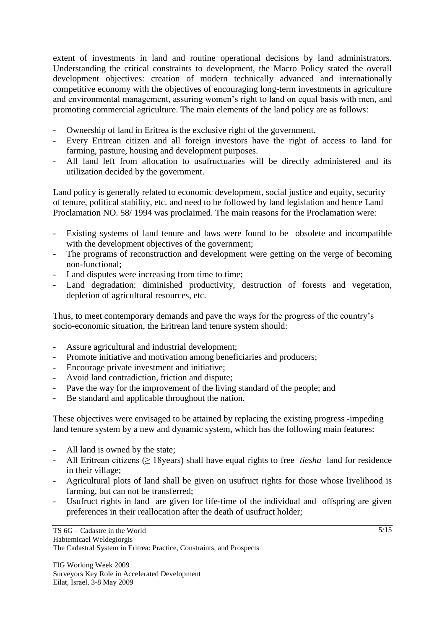extent of investments in land and routine operational decisions by land administrators. Understanding the critical constraints to development, the Macro Policy stated the overall development objectives: creation of modern technically advanced and internationally competitive economy with the objectives of encouraging long-term investments in agriculture and environmental management, assuring women's right to land on equal basis with men, and promoting commercial agriculture. The main elements of the land policy are as follows:

- Ownership of land in Eritrea is the exclusive right of the government.
- Every Eritrean citizen and all foreign investors have the right of access to land for farming, pasture, housing and development purposes.
- All land left from allocation to usufructuaries will be directly administered and its utilization decided by the government.

Land policy is generally related to economic development, social justice and equity, security of tenure, political stability, etc. and need to be followed by land legislation and hence Land Proclamation NO. 58/ 1994 was proclaimed. The main reasons for the Proclamation were:

- Existing systems of land tenure and laws were found to be obsolete and incompatible with the development objectives of the government;
- The programs of reconstruction and development were getting on the verge of becoming non-functional;
- Land disputes were increasing from time to time;
- Land degradation: diminished productivity, destruction of forests and vegetation, depletion of agricultural resources, etc.

Thus, to meet contemporary demands and pave the ways for the progress of the country's socio-economic situation, the Eritrean land tenure system should:

- Assure agricultural and industrial development;
- Promote initiative and motivation among beneficiaries and producers;
- Encourage private investment and initiative;
- Avoid land contradiction, friction and dispute;
- Pave the way for the improvement of the living standard of the people; and
- Be standard and applicable throughout the nation.

These objectives were envisaged to be attained by replacing the existing progress -impeding land tenure system by a new and dynamic system, which has the following main features:

- All land is owned by the state;
- All Eritrean citizens (≥ 18years) shall have equal rights to free *tiesha* land for residence in their village;
- Agricultural plots of land shall be given on usufruct rights for those whose livelihood is farming, but can not be transferred;
- Usufruct rights in land are given for life-time of the individual and offspring are given preferences in their reallocation after the death of usufruct holder;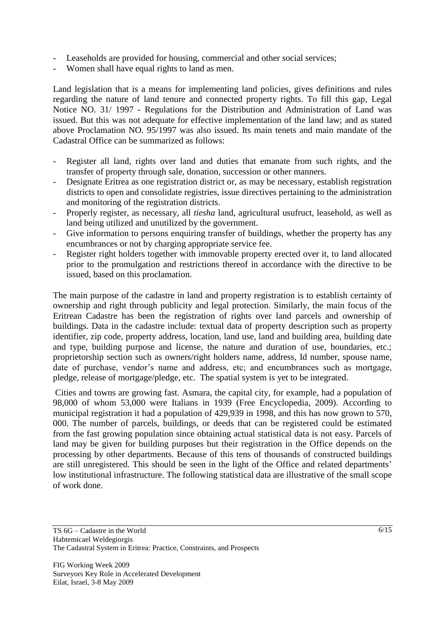- Leaseholds are provided for housing, commercial and other social services;
- Women shall have equal rights to land as men.

Land legislation that is a means for implementing land policies, gives definitions and rules regarding the nature of land tenure and connected property rights. To fill this gap, Legal Notice NO. 31/ 1997 - Regulations for the Distribution and Administration of Land was issued. But this was not adequate for effective implementation of the land law; and as stated above Proclamation NO. 95/1997 was also issued. Its main tenets and main mandate of the Cadastral Office can be summarized as follows:

- Register all land, rights over land and duties that emanate from such rights, and the transfer of property through sale, donation, succession or other manners.
- Designate Eritrea as one registration district or, as may be necessary, establish registration districts to open and consolidate registries, issue directives pertaining to the administration and monitoring of the registration districts.
- Properly register, as necessary, all *tiesha* land, agricultural usufruct, leasehold, as well as land being utilized and unutilized by the government.
- Give information to persons enquiring transfer of buildings, whether the property has any encumbrances or not by charging appropriate service fee.
- Register right holders together with immovable property erected over it, to land allocated prior to the promulgation and restrictions thereof in accordance with the directive to be issued, based on this proclamation.

The main purpose of the cadastre in land and property registration is to establish certainty of ownership and right through publicity and legal protection. Similarly, the main focus of the Eritrean Cadastre has been the registration of rights over land parcels and ownership of buildings. Data in the cadastre include: textual data of property description such as property identifier, zip code, property address, location, land use, land and building area, building date and type, building purpose and license, the nature and duration of use, boundaries, etc.; proprietorship section such as owners/right holders name, address, Id number, spouse name, date of purchase, vendor's name and address, etc; and encumbrances such as mortgage, pledge, release of mortgage/pledge, etc. The spatial system is yet to be integrated.

Cities and towns are growing fast. Asmara, the capital city, for example, had a population of 98,000 of whom 53,000 were Italians in 1939 (Free Encyclopedia, 2009). According to municipal registration it had a population of 429,939 in 1998, and this has now grown to 570, 000. The number of parcels, buildings, or deeds that can be registered could be estimated from the fast growing population since obtaining actual statistical data is not easy. Parcels of land may be given for building purposes but their registration in the Office depends on the processing by other departments. Because of this tens of thousands of constructed buildings are still unregistered. This should be seen in the light of the Office and related departments' low institutional infrastructure. The following statistical data are illustrative of the small scope of work done.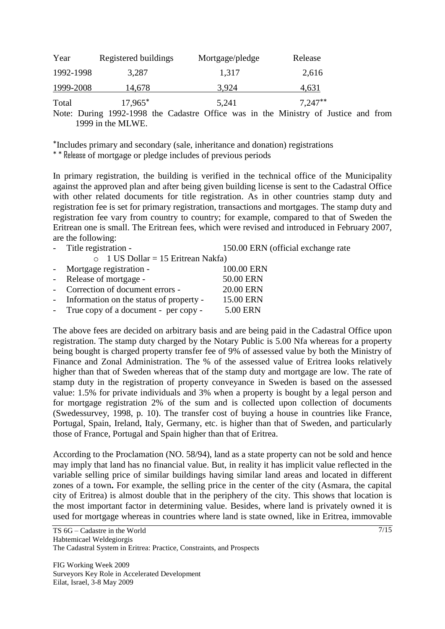| Year      | Registered buildings | Mortgage/pledge | Release   |
|-----------|----------------------|-----------------|-----------|
| 1992-1998 | 3,287                | 1,317           | 2,616     |
| 1999-2008 | 14,678               | 3.924           | 4,631     |
| Total     | $17,965^*$           | 5,241           | $7,247**$ |

Note: During 1992-1998 the Cadastre Office was in the Ministry of Justice and from 1999 in the MLWE.

\*Includes primary and secondary (sale, inheritance and donation) registrations

\* \* Release of mortgage or pledge includes of previous periods

In primary registration, the building is verified in the technical office of the Municipality against the approved plan and after being given building license is sent to the Cadastral Office with other related documents for title registration. As in other countries stamp duty and registration fee is set for primary registration, transactions and mortgages. The stamp duty and registration fee vary from country to country; for example, compared to that of Sweden the Eritrean one is small. The Eritrean fees, which were revised and introduced in February 2007, are the following:

- Title registration - 150.00 ERN (official exchange rate

o 1 US Dollar = 15 Eritrean Nakfa) Mortgage registration - 100.00 ERN Release of mortgage - 50.00 ERN Correction of document errors - 20.00 ERN Information on the status of property - 15.00 ERN True copy of a document - per copy - 5.00 ERN

The above fees are decided on arbitrary basis and are being paid in the Cadastral Office upon registration. The stamp duty charged by the Notary Public is 5.00 Nfa whereas for a property being bought is charged property transfer fee of 9% of assessed value by both the Ministry of Finance and Zonal Administration. The % of the assessed value of Eritrea looks relatively higher than that of Sweden whereas that of the stamp duty and mortgage are low. The rate of stamp duty in the registration of property conveyance in Sweden is based on the assessed value: 1.5% for private individuals and 3% when a property is bought by a legal person and for mortgage registration 2% of the sum and is collected upon collection of documents (Swedessurvey, 1998, p. 10). The transfer cost of buying a house in countries like France, Portugal, Spain, Ireland, Italy, Germany, etc. is higher than that of Sweden, and particularly those of France, Portugal and Spain higher than that of Eritrea.

According to the Proclamation (NO. 58/94), land as a state property can not be sold and hence may imply that land has no financial value. But, in reality it has implicit value reflected in the variable selling price of similar buildings having similar land areas and located in different zones of a town**.** For example, the selling price in the center of the city (Asmara, the capital city of Eritrea) is almost double that in the periphery of the city. This shows that location is the most important factor in determining value. Besides, where land is privately owned it is used for mortgage whereas in countries where land is state owned, like in Eritrea, immovable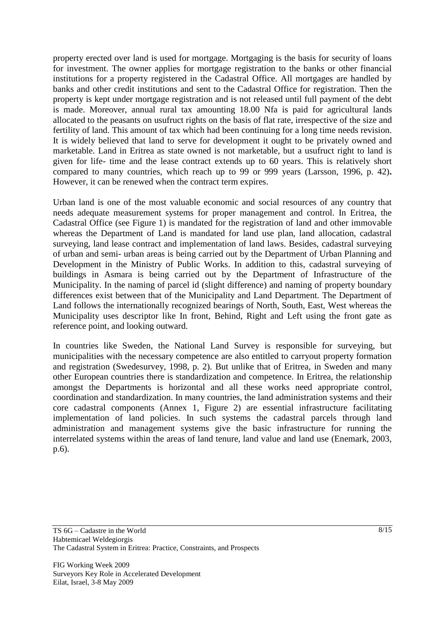property erected over land is used for mortgage. Mortgaging is the basis for security of loans for investment. The owner applies for mortgage registration to the banks or other financial institutions for a property registered in the Cadastral Office. All mortgages are handled by banks and other credit institutions and sent to the Cadastral Office for registration. Then the property is kept under mortgage registration and is not released until full payment of the debt is made. Moreover, annual rural tax amounting 18.00 Nfa is paid for agricultural lands allocated to the peasants on usufruct rights on the basis of flat rate, irrespective of the size and fertility of land. This amount of tax which had been continuing for a long time needs revision. It is widely believed that land to serve for development it ought to be privately owned and marketable. Land in Eritrea as state owned is not marketable, but a usufruct right to land is given for life- time and the lease contract extends up to 60 years. This is relatively short compared to many countries, which reach up to 99 or 999 years (Larsson, 1996, p. 42)**.** However, it can be renewed when the contract term expires.

Urban land is one of the most valuable economic and social resources of any country that needs adequate measurement systems for proper management and control. In Eritrea, the Cadastral Office (see Figure 1) is mandated for the registration of land and other immovable whereas the Department of Land is mandated for land use plan, land allocation, cadastral surveying, land lease contract and implementation of land laws. Besides, cadastral surveying of urban and semi- urban areas is being carried out by the Department of Urban Planning and Development in the Ministry of Public Works. In addition to this, cadastral surveying of buildings in Asmara is being carried out by the Department of Infrastructure of the Municipality. In the naming of parcel id (slight difference) and naming of property boundary differences exist between that of the Municipality and Land Department. The Department of Land follows the internationally recognized bearings of North, South, East, West whereas the Municipality uses descriptor like In front, Behind, Right and Left using the front gate as reference point, and looking outward.

In countries like Sweden, the National Land Survey is responsible for surveying, but municipalities with the necessary competence are also entitled to carryout property formation and registration (Swedesurvey, 1998, p. 2). But unlike that of Eritrea, in Sweden and many other European countries there is standardization and competence. In Eritrea, the relationship amongst the Departments is horizontal and all these works need appropriate control, coordination and standardization. In many countries, the land administration systems and their core cadastral components (Annex 1, Figure 2) are essential infrastructure facilitating implementation of land policies. In such systems the cadastral parcels through land administration and management systems give the basic infrastructure for running the interrelated systems within the areas of land tenure, land value and land use (Enemark, 2003, p.6).

TS 6G – Cadastre in the World Habtemicael Weldegiorgis The Cadastral System in Eritrea: Practice, Constraints, and Prospects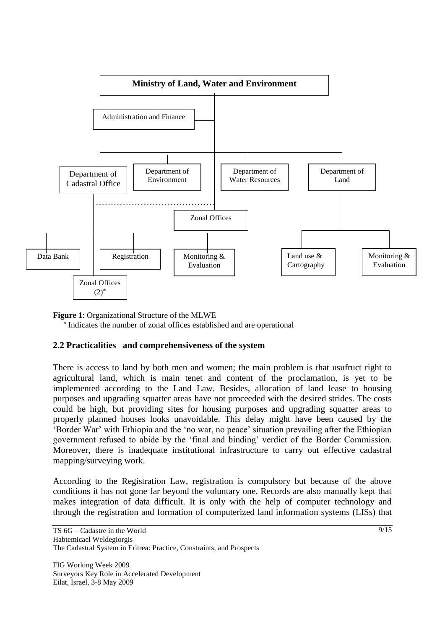

**Figure 1**: Organizational Structure of the MLWE

\* Indicates the number of zonal offices established and are operational

#### **2.2 Practicalities and comprehensiveness of the system**

There is access to land by both men and women; the main problem is that usufruct right to agricultural land, which is main tenet and content of the proclamation, is yet to be implemented according to the Land Law. Besides, allocation of land lease to housing purposes and upgrading squatter areas have not proceeded with the desired strides. The costs could be high, but providing sites for housing purposes and upgrading squatter areas to properly planned houses looks unavoidable. This delay might have been caused by the 'Border War' with Ethiopia and the 'no war, no peace' situation prevailing after the Ethiopian government refused to abide by the 'final and binding' verdict of the Border Commission. Moreover, there is inadequate institutional infrastructure to carry out effective cadastral mapping/surveying work.

According to the Registration Law, registration is compulsory but because of the above conditions it has not gone far beyond the voluntary one. Records are also manually kept that makes integration of data difficult. It is only with the help of computer technology and through the registration and formation of computerized land information systems (LISs) that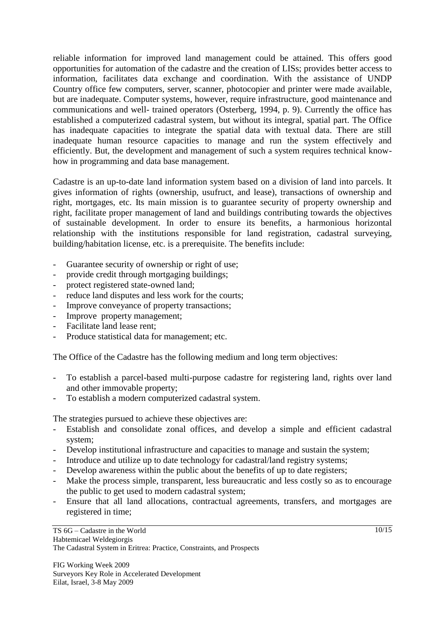reliable information for improved land management could be attained. This offers good opportunities for automation of the cadastre and the creation of LISs; provides better access to information, facilitates data exchange and coordination. With the assistance of UNDP Country office few computers, server, scanner, photocopier and printer were made available, but are inadequate. Computer systems, however, require infrastructure, good maintenance and communications and well- trained operators (Osterberg, 1994, p. 9). Currently the office has established a computerized cadastral system, but without its integral, spatial part. The Office has inadequate capacities to integrate the spatial data with textual data. There are still inadequate human resource capacities to manage and run the system effectively and efficiently. But, the development and management of such a system requires technical knowhow in programming and data base management.

Cadastre is an up-to-date land information system based on a division of land into parcels. It gives information of rights (ownership, usufruct, and lease), transactions of ownership and right, mortgages, etc. Its main mission is to guarantee security of property ownership and right, facilitate proper management of land and buildings contributing towards the objectives of sustainable development. In order to ensure its benefits, a harmonious horizontal relationship with the institutions responsible for land registration, cadastral surveying, building/habitation license, etc. is a prerequisite. The benefits include:

- Guarantee security of ownership or right of use;
- provide credit through mortgaging buildings;
- protect registered state-owned land;
- reduce land disputes and less work for the courts;
- Improve conveyance of property transactions;
- Improve property management;
- Facilitate land lease rent;
- Produce statistical data for management; etc.

The Office of the Cadastre has the following medium and long term objectives:

- To establish a parcel-based multi-purpose cadastre for registering land, rights over land and other immovable property;
- To establish a modern computerized cadastral system.

The strategies pursued to achieve these objectives are:

- Establish and consolidate zonal offices, and develop a simple and efficient cadastral system;
- Develop institutional infrastructure and capacities to manage and sustain the system;
- Introduce and utilize up to date technology for cadastral/land registry systems;
- Develop awareness within the public about the benefits of up to date registers;
- Make the process simple, transparent, less bureaucratic and less costly so as to encourage the public to get used to modern cadastral system;
- Ensure that all land allocations, contractual agreements, transfers, and mortgages are registered in time;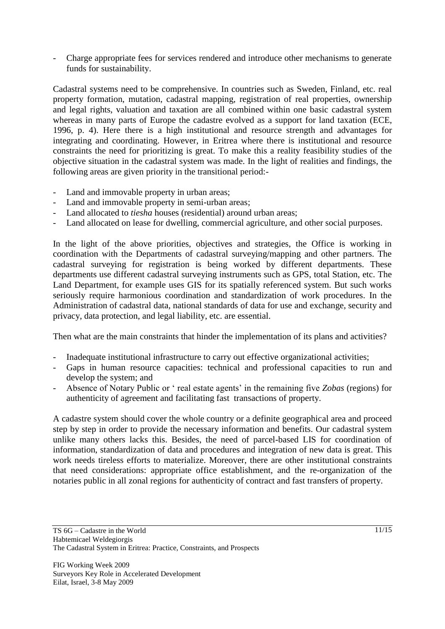- Charge appropriate fees for services rendered and introduce other mechanisms to generate funds for sustainability.

Cadastral systems need to be comprehensive. In countries such as Sweden, Finland, etc. real property formation, mutation, cadastral mapping, registration of real properties, ownership and legal rights, valuation and taxation are all combined within one basic cadastral system whereas in many parts of Europe the cadastre evolved as a support for land taxation (ECE, 1996, p. 4). Here there is a high institutional and resource strength and advantages for integrating and coordinating. However, in Eritrea where there is institutional and resource constraints the need for prioritizing is great. To make this a reality feasibility studies of the objective situation in the cadastral system was made. In the light of realities and findings, the following areas are given priority in the transitional period:-

- Land and immovable property in urban areas;
- Land and immovable property in semi-urban areas;
- Land allocated to *tiesha* houses (residential) around urban areas;
- Land allocated on lease for dwelling, commercial agriculture, and other social purposes.

In the light of the above priorities, objectives and strategies, the Office is working in coordination with the Departments of cadastral surveying/mapping and other partners. The cadastral surveying for registration is being worked by different departments. These departments use different cadastral surveying instruments such as GPS, total Station, etc. The Land Department, for example uses GIS for its spatially referenced system. But such works seriously require harmonious coordination and standardization of work procedures. In the Administration of cadastral data, national standards of data for use and exchange, security and privacy, data protection, and legal liability, etc. are essential.

Then what are the main constraints that hinder the implementation of its plans and activities?

- Inadequate institutional infrastructure to carry out effective organizational activities;
- Gaps in human resource capacities: technical and professional capacities to run and develop the system; and
- Absence of Notary Public or ' real estate agents' in the remaining five *Zobas* (regions) for authenticity of agreement and facilitating fast transactions of property.

A cadastre system should cover the whole country or a definite geographical area and proceed step by step in order to provide the necessary information and benefits. Our cadastral system unlike many others lacks this. Besides, the need of parcel-based LIS for coordination of information, standardization of data and procedures and integration of new data is great. This work needs tireless efforts to materialize. Moreover, there are other institutional constraints that need considerations: appropriate office establishment, and the re-organization of the notaries public in all zonal regions for authenticity of contract and fast transfers of property.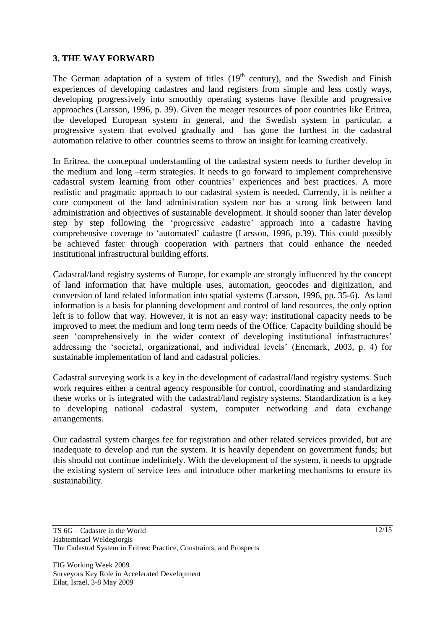#### **3. THE WAY FORWARD**

The German adaptation of a system of titles  $(19<sup>th</sup>$  century), and the Swedish and Finish experiences of developing cadastres and land registers from simple and less costly ways, developing progressively into smoothly operating systems have flexible and progressive approaches (Larsson, 1996, p. 39). Given the meager resources of poor countries like Eritrea, the developed European system in general, and the Swedish system in particular, a progressive system that evolved gradually and has gone the furthest in the cadastral automation relative to other countries seems to throw an insight for learning creatively.

In Eritrea, the conceptual understanding of the cadastral system needs to further develop in the medium and long –term strategies. It needs to go forward to implement comprehensive cadastral system learning from other countries' experiences and best practices. A more realistic and pragmatic approach to our cadastral system is needed. Currently, it is neither a core component of the land administration system nor has a strong link between land administration and objectives of sustainable development. It should sooner than later develop step by step following the 'progressive cadastre' approach into a cadastre having comprehensive coverage to 'automated' cadastre (Larsson, 1996, p.39). This could possibly be achieved faster through cooperation with partners that could enhance the needed institutional infrastructural building efforts.

Cadastral/land registry systems of Europe, for example are strongly influenced by the concept of land information that have multiple uses, automation, geocodes and digitization, and conversion of land related information into spatial systems (Larsson, 1996, pp. 35-6). As land information is a basis for planning development and control of land resources, the only option left is to follow that way. However, it is not an easy way: institutional capacity needs to be improved to meet the medium and long term needs of the Office. Capacity building should be seen 'comprehensively in the wider context of developing institutional infrastructures' addressing the 'societal, organizational, and individual levels' (Enemark, 2003, p. 4) for sustainable implementation of land and cadastral policies.

Cadastral surveying work is a key in the development of cadastral/land registry systems. Such work requires either a central agency responsible for control, coordinating and standardizing these works or is integrated with the cadastral/land registry systems. Standardization is a key to developing national cadastral system, computer networking and data exchange arrangements.

Our cadastral system charges fee for registration and other related services provided, but are inadequate to develop and run the system. It is heavily dependent on government funds; but this should not continue indefinitely. With the development of the system, it needs to upgrade the existing system of service fees and introduce other marketing mechanisms to ensure its sustainability.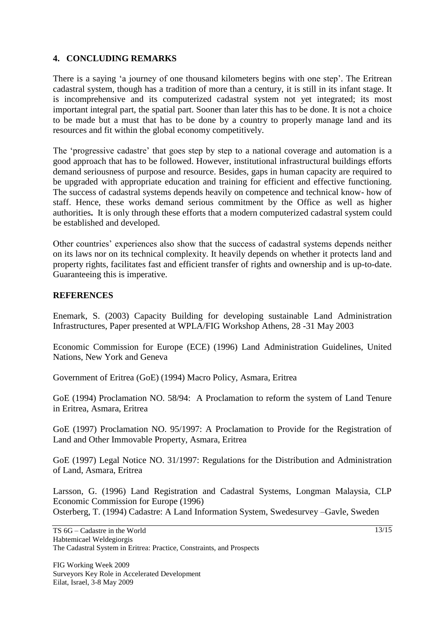# **4. CONCLUDING REMARKS**

There is a saying 'a journey of one thousand kilometers begins with one step'. The Eritrean cadastral system, though has a tradition of more than a century, it is still in its infant stage. It is incomprehensive and its computerized cadastral system not yet integrated; its most important integral part, the spatial part. Sooner than later this has to be done. It is not a choice to be made but a must that has to be done by a country to properly manage land and its resources and fit within the global economy competitively.

The 'progressive cadastre' that goes step by step to a national coverage and automation is a good approach that has to be followed. However, institutional infrastructural buildings efforts demand seriousness of purpose and resource. Besides, gaps in human capacity are required to be upgraded with appropriate education and training for efficient and effective functioning. The success of cadastral systems depends heavily on competence and technical know- how of staff. Hence, these works demand serious commitment by the Office as well as higher authorities**.** It is only through these efforts that a modern computerized cadastral system could be established and developed.

Other countries' experiences also show that the success of cadastral systems depends neither on its laws nor on its technical complexity. It heavily depends on whether it protects land and property rights, facilitates fast and efficient transfer of rights and ownership and is up-to-date. Guaranteeing this is imperative.

# **REFERENCES**

Enemark, S. (2003) Capacity Building for developing sustainable Land Administration Infrastructures, Paper presented at WPLA/FIG Workshop Athens, 28 -31 May 2003

Economic Commission for Europe (ECE) (1996) Land Administration Guidelines, United Nations, New York and Geneva

Government of Eritrea (GoE) (1994) Macro Policy, Asmara, Eritrea

GoE (1994) Proclamation NO. 58/94: A Proclamation to reform the system of Land Tenure in Eritrea, Asmara, Eritrea

GoE (1997) Proclamation NO. 95/1997: A Proclamation to Provide for the Registration of Land and Other Immovable Property, Asmara, Eritrea

GoE (1997) Legal Notice NO. 31/1997: Regulations for the Distribution and Administration of Land, Asmara, Eritrea

Larsson, G. (1996) Land Registration and Cadastral Systems, Longman Malaysia, CLP Economic Commission for Europe (1996) Osterberg, T. (1994) Cadastre: A Land Information System, Swedesurvey –Gavle, Sweden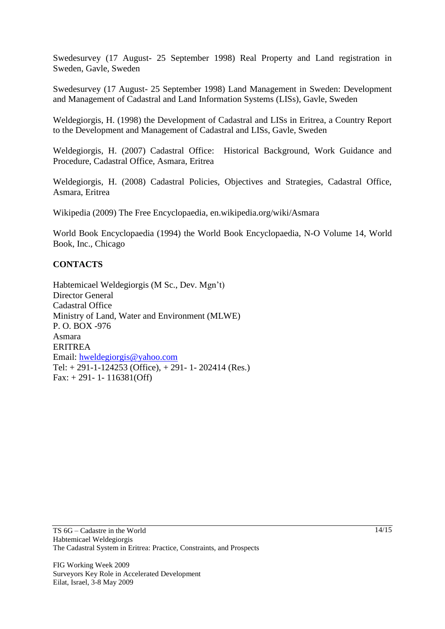Swedesurvey (17 August- 25 September 1998) Real Property and Land registration in Sweden, Gavle, Sweden

Swedesurvey (17 August- 25 September 1998) Land Management in Sweden: Development and Management of Cadastral and Land Information Systems (LISs), Gavle, Sweden

Weldegiorgis, H. (1998) the Development of Cadastral and LISs in Eritrea, a Country Report to the Development and Management of Cadastral and LISs, Gavle, Sweden

Weldegiorgis, H. (2007) Cadastral Office: Historical Background, Work Guidance and Procedure, Cadastral Office, Asmara, Eritrea

Weldegiorgis, H. (2008) Cadastral Policies, Objectives and Strategies, Cadastral Office, Asmara, Eritrea

Wikipedia (2009) The Free Encyclopaedia, en.wikipedia.org/wiki/Asmara

World Book Encyclopaedia (1994) the World Book Encyclopaedia, N-O Volume 14, World Book, Inc., Chicago

#### **CONTACTS**

Habtemicael Weldegiorgis (M Sc., Dev. Mgn't) Director General Cadastral Office Ministry of Land, Water and Environment (MLWE) P. O. BOX -976 Asmara ERITREA Email: [hweldegiorgis@yahoo.com](mailto:hweldegiorgis@yahoo.com) Tel: + 291-1-124253 (Office), + 291- 1- 202414 (Res.) Fax: + 291- 1- 116381(Off)